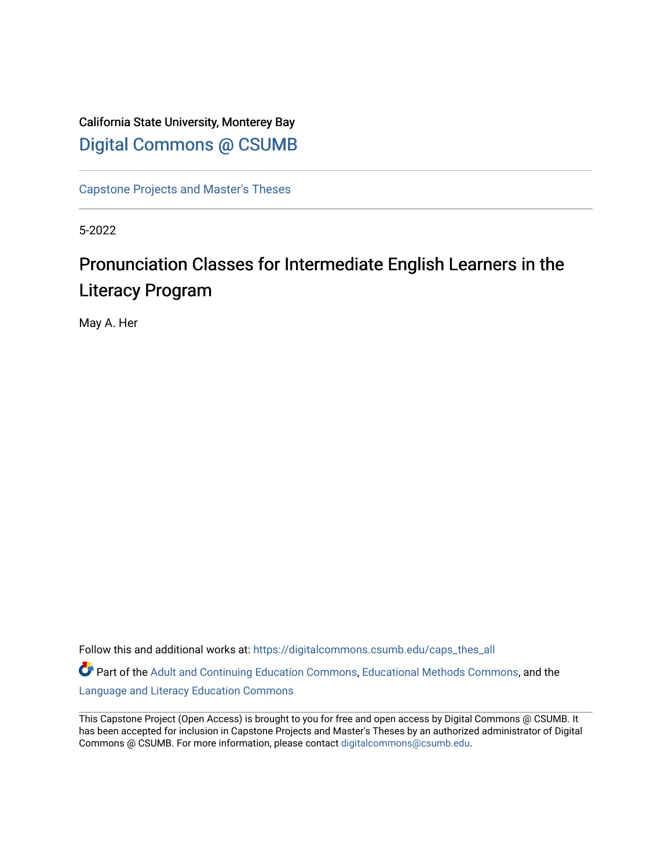# California State University, Monterey Bay [Digital Commons @ CSUMB](https://digitalcommons.csumb.edu/)

[Capstone Projects and Master's Theses](https://digitalcommons.csumb.edu/caps_thes_all)

5-2022

# Pronunciation Classes for Intermediate English Learners in the Literacy Program

May A. Her

Follow this and additional works at: [https://digitalcommons.csumb.edu/caps\\_thes\\_all](https://digitalcommons.csumb.edu/caps_thes_all?utm_source=digitalcommons.csumb.edu%2Fcaps_thes_all%2F1237&utm_medium=PDF&utm_campaign=PDFCoverPages) Part of the [Adult and Continuing Education Commons,](https://network.bepress.com/hgg/discipline/1375?utm_source=digitalcommons.csumb.edu%2Fcaps_thes_all%2F1237&utm_medium=PDF&utm_campaign=PDFCoverPages) [Educational Methods Commons,](https://network.bepress.com/hgg/discipline/1227?utm_source=digitalcommons.csumb.edu%2Fcaps_thes_all%2F1237&utm_medium=PDF&utm_campaign=PDFCoverPages) and the

[Language and Literacy Education Commons](https://network.bepress.com/hgg/discipline/1380?utm_source=digitalcommons.csumb.edu%2Fcaps_thes_all%2F1237&utm_medium=PDF&utm_campaign=PDFCoverPages) 

This Capstone Project (Open Access) is brought to you for free and open access by Digital Commons @ CSUMB. It has been accepted for inclusion in Capstone Projects and Master's Theses by an authorized administrator of Digital Commons @ CSUMB. For more information, please contact [digitalcommons@csumb.edu](mailto:digitalcommons@csumb.edu).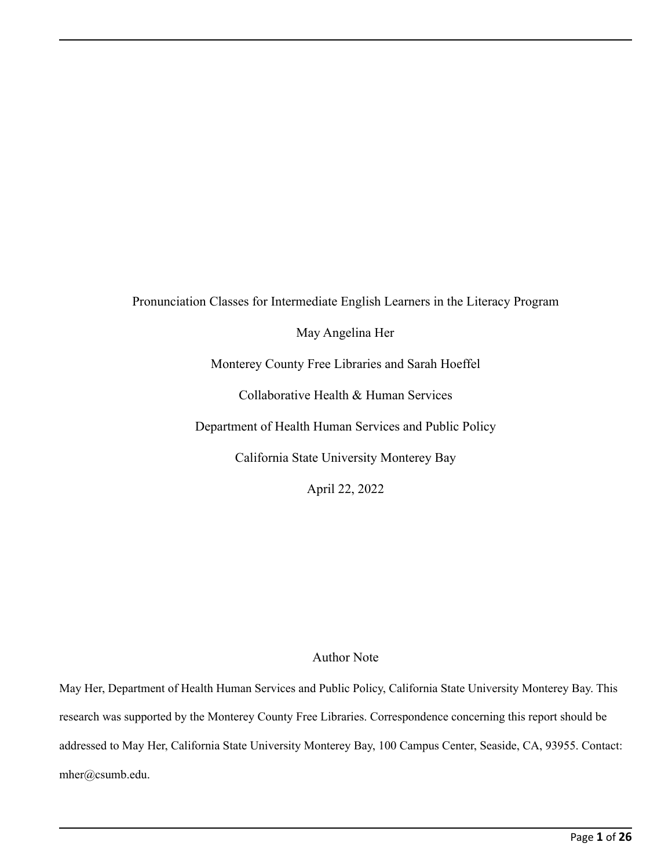Pronunciation Classes for Intermediate English Learners in the Literacy Program May Angelina Her Monterey County Free Libraries and Sarah Hoeffel Collaborative Health & Human Services Department of Health Human Services and Public Policy California State University Monterey Bay

April 22, 2022

# Author Note

May Her, Department of Health Human Services and Public Policy, California State University Monterey Bay. This research was supported by the Monterey County Free Libraries. Correspondence concerning this report should be addressed to May Her, California State University Monterey Bay, 100 Campus Center, Seaside, CA, 93955. Contact: mher@csumb.edu.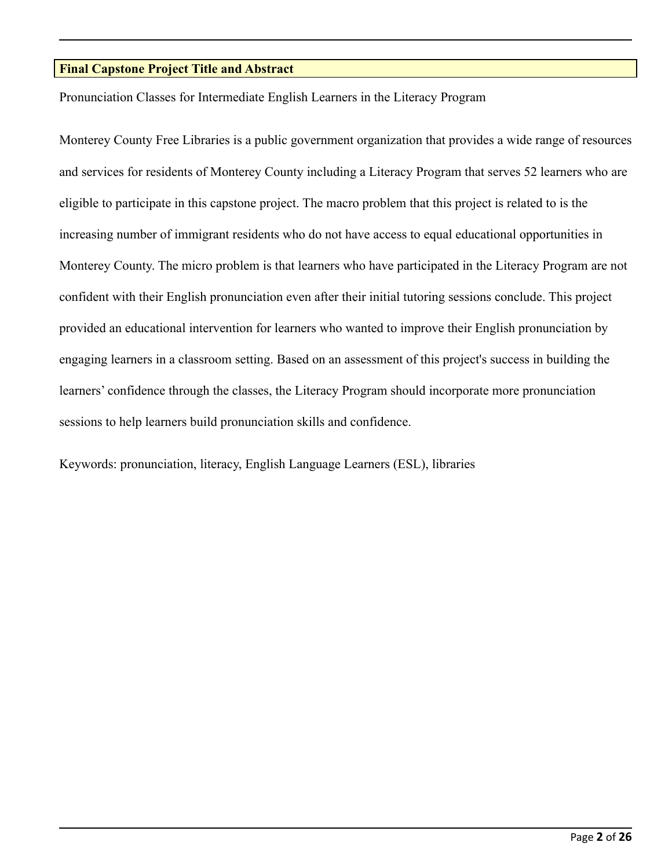# **Final Capstone Project Title and Abstract**

Pronunciation Classes for Intermediate English Learners in the Literacy Program

Monterey County Free Libraries is a public government organization that provides a wide range of resources and services for residents of Monterey County including a Literacy Program that serves 52 learners who are eligible to participate in this capstone project. The macro problem that this project is related to is the increasing number of immigrant residents who do not have access to equal educational opportunities in Monterey County. The micro problem is that learners who have participated in the Literacy Program are not confident with their English pronunciation even after their initial tutoring sessions conclude. This project provided an educational intervention for learners who wanted to improve their English pronunciation by engaging learners in a classroom setting. Based on an assessment of this project's success in building the learners' confidence through the classes, the Literacy Program should incorporate more pronunciation sessions to help learners build pronunciation skills and confidence.

Keywords: pronunciation, literacy, English Language Learners (ESL), libraries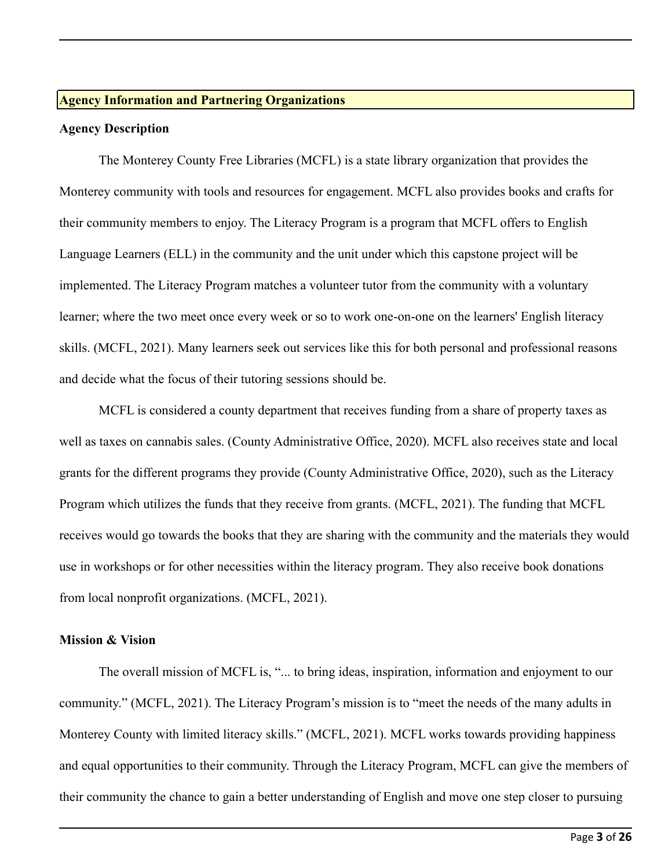#### **Agency Information and Partnering Organizations**

#### **Agency Description**

The Monterey County Free Libraries (MCFL) is a state library organization that provides the Monterey community with tools and resources for engagement. MCFL also provides books and crafts for their community members to enjoy. The Literacy Program is a program that MCFL offers to English Language Learners (ELL) in the community and the unit under which this capstone project will be implemented. The Literacy Program matches a volunteer tutor from the community with a voluntary learner; where the two meet once every week or so to work one-on-one on the learners' English literacy skills. (MCFL, 2021). Many learners seek out services like this for both personal and professional reasons and decide what the focus of their tutoring sessions should be.

MCFL is considered a county department that receives funding from a share of property taxes as well as taxes on cannabis sales. (County Administrative Office, 2020). MCFL also receives state and local grants for the different programs they provide (County Administrative Office, 2020), such as the Literacy Program which utilizes the funds that they receive from grants. (MCFL, 2021). The funding that MCFL receives would go towards the books that they are sharing with the community and the materials they would use in workshops or for other necessities within the literacy program. They also receive book donations from local nonprofit organizations. (MCFL, 2021).

#### **Mission & Vision**

The overall mission of MCFL is, "... to bring ideas, inspiration, information and enjoyment to our community." (MCFL, 2021). The Literacy Program's mission is to "meet the needs of the many adults in Monterey County with limited literacy skills." (MCFL, 2021). MCFL works towards providing happiness and equal opportunities to their community. Through the Literacy Program, MCFL can give the members of their community the chance to gain a better understanding of English and move one step closer to pursuing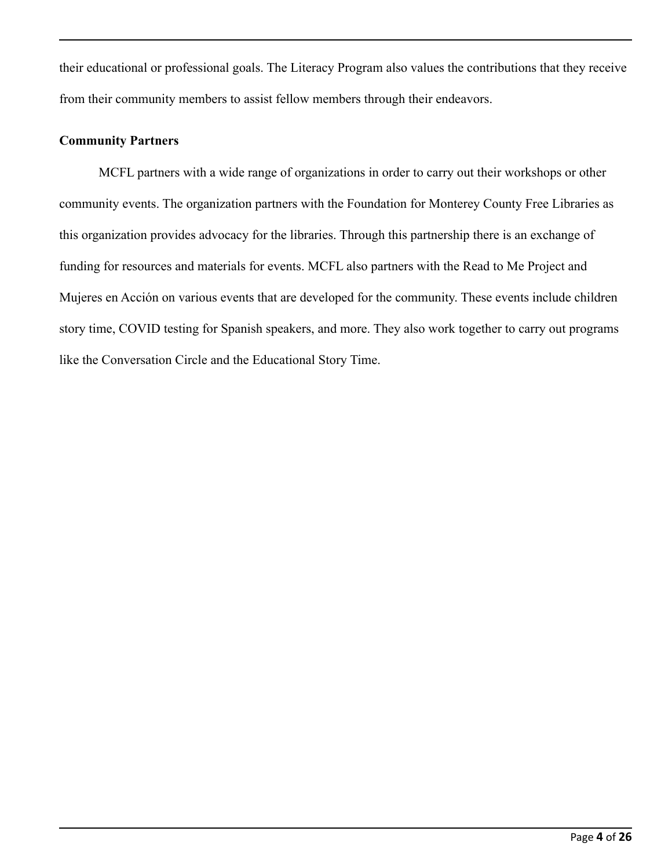their educational or professional goals. The Literacy Program also values the contributions that they receive from their community members to assist fellow members through their endeavors.

# **Community Partners**

MCFL partners with a wide range of organizations in order to carry out their workshops or other community events. The organization partners with the Foundation for Monterey County Free Libraries as this organization provides advocacy for the libraries. Through this partnership there is an exchange of funding for resources and materials for events. MCFL also partners with the Read to Me Project and Mujeres en Acción on various events that are developed for the community. These events include children story time, COVID testing for Spanish speakers, and more. They also work together to carry out programs like the Conversation Circle and the Educational Story Time.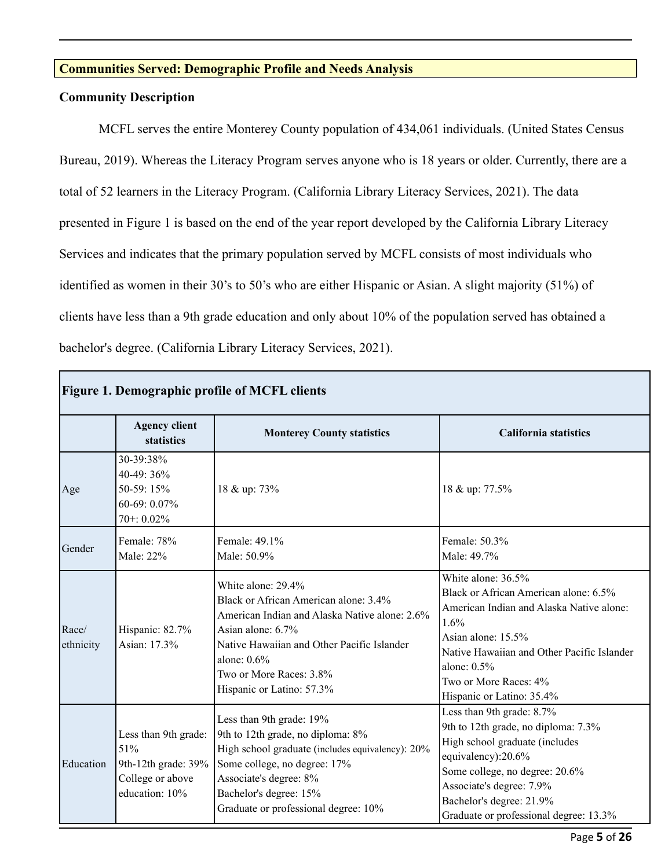# **Communities Served: Demographic Profile and Needs Analysis**

# **Community Description**

MCFL serves the entire Monterey County population of 434,061 individuals. (United States Census Bureau, 2019). Whereas the Literacy Program serves anyone who is 18 years or older. Currently, there are a total of 52 learners in the Literacy Program. (California Library Literacy Services, 2021). The data presented in Figure 1 is based on the end of the year report developed by the California Library Literacy Services and indicates that the primary population served by MCFL consists of most individuals who identified as women in their 30's to 50's who are either Hispanic or Asian. A slight majority (51%) of clients have less than a 9th grade education and only about 10% of the population served has obtained a bachelor's degree. (California Library Literacy Services, 2021).

| <b>Figure 1. Demographic profile of MCFL clients</b> |                                                                                          |                                                                                                                                                                                                                                                           |                                                                                                                                                                                                                                                              |  |  |  |  |  |
|------------------------------------------------------|------------------------------------------------------------------------------------------|-----------------------------------------------------------------------------------------------------------------------------------------------------------------------------------------------------------------------------------------------------------|--------------------------------------------------------------------------------------------------------------------------------------------------------------------------------------------------------------------------------------------------------------|--|--|--|--|--|
|                                                      | <b>Agency client</b><br>statistics                                                       | <b>Monterey County statistics</b>                                                                                                                                                                                                                         | <b>California statistics</b>                                                                                                                                                                                                                                 |  |  |  |  |  |
| Age                                                  | 30-39:38%<br>40-49: 36%<br>50-59: 15%<br>60-69: 0.07%<br>70+: 0.02%                      | 18 & up: 73%                                                                                                                                                                                                                                              | 18 & up: 77.5%                                                                                                                                                                                                                                               |  |  |  |  |  |
| Gender                                               | Female: 78%<br>Male: 22%                                                                 | Female: 49.1%<br>Male: 50.9%                                                                                                                                                                                                                              | Female: 50.3%<br>Male: 49.7%                                                                                                                                                                                                                                 |  |  |  |  |  |
| Race/<br>ethnicity                                   | Hispanic: 82.7%<br>Asian: 17.3%                                                          | White alone: 29.4%<br>Black or African American alone: 3.4%<br>American Indian and Alaska Native alone: 2.6%<br>Asian alone: 6.7%<br>Native Hawaiian and Other Pacific Islander<br>alone: $0.6\%$<br>Two or More Races: 3.8%<br>Hispanic or Latino: 57.3% | White alone: 36.5%<br>Black or African American alone: 6.5%<br>American Indian and Alaska Native alone:<br>1.6%<br>Asian alone: 15.5%<br>Native Hawaiian and Other Pacific Islander<br>alone: $0.5\%$<br>Two or More Races: 4%<br>Hispanic or Latino: 35.4%  |  |  |  |  |  |
| Education                                            | Less than 9th grade:<br>51%<br>9th-12th grade: 39%<br>College or above<br>education: 10% | Less than 9th grade: 19%<br>9th to 12th grade, no diploma: 8%<br>High school graduate (includes equivalency): 20%<br>Some college, no degree: 17%<br>Associate's degree: 8%<br>Bachelor's degree: 15%<br>Graduate or professional degree: 10%             | Less than 9th grade: 8.7%<br>9th to 12th grade, no diploma: 7.3%<br>High school graduate (includes<br>equivalency):20.6%<br>Some college, no degree: 20.6%<br>Associate's degree: 7.9%<br>Bachelor's degree: 21.9%<br>Graduate or professional degree: 13.3% |  |  |  |  |  |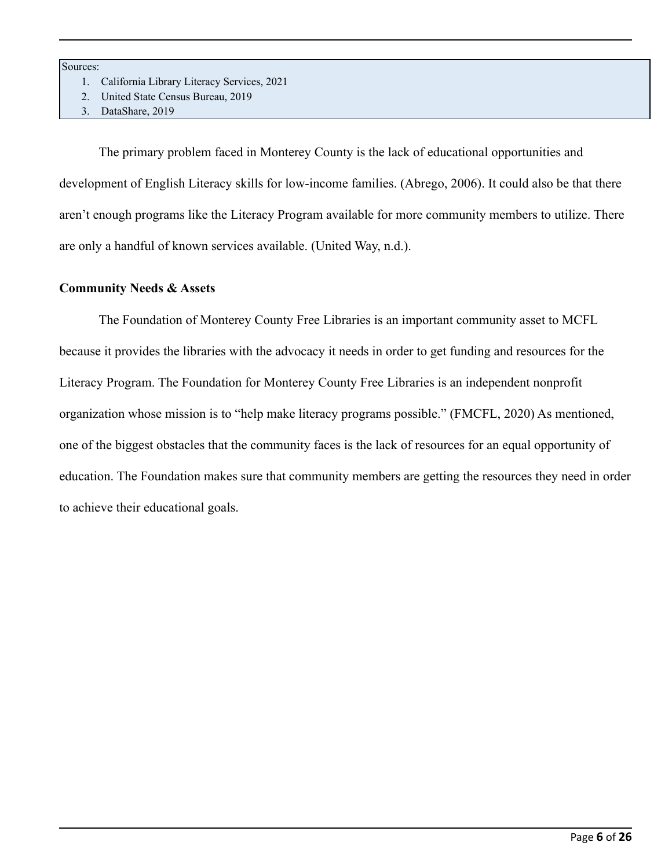Sources:

- 1. California Library Literacy Services, 2021
- 2. United State Census Bureau, 2019
- 3. DataShare, 2019

The primary problem faced in Monterey County is the lack of educational opportunities and development of English Literacy skills for low-income families. (Abrego, 2006). It could also be that there aren't enough programs like the Literacy Program available for more community members to utilize. There are only a handful of known services available. (United Way, n.d.).

#### **Community Needs & Assets**

The Foundation of Monterey County Free Libraries is an important community asset to MCFL because it provides the libraries with the advocacy it needs in order to get funding and resources for the Literacy Program. The Foundation for Monterey County Free Libraries is an independent nonprofit organization whose mission is to "help make literacy programs possible." (FMCFL, 2020) As mentioned, one of the biggest obstacles that the community faces is the lack of resources for an equal opportunity of education. The Foundation makes sure that community members are getting the resources they need in order to achieve their educational goals.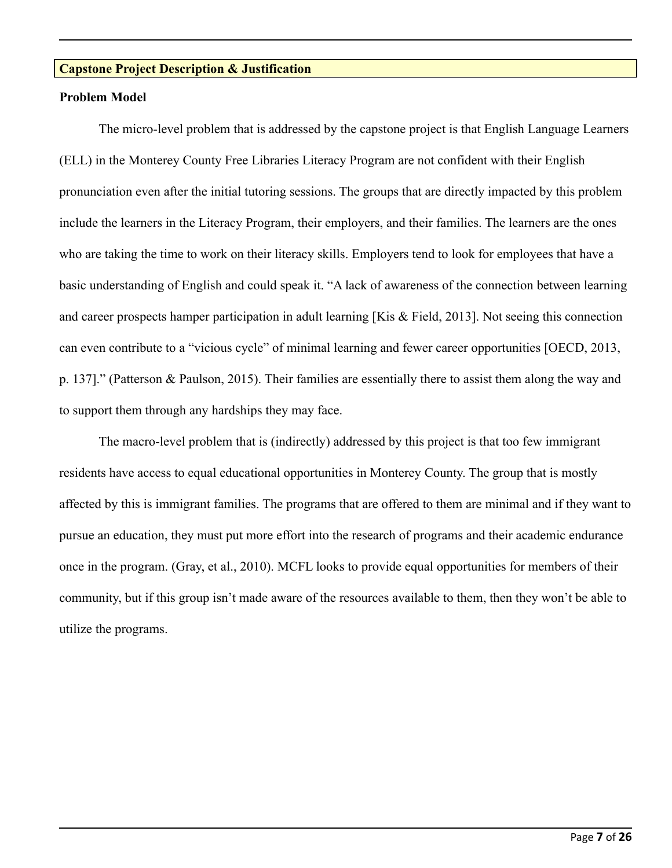# **Capstone Project Description & Justification**

#### **Problem Model**

The micro-level problem that is addressed by the capstone project is that English Language Learners (ELL) in the Monterey County Free Libraries Literacy Program are not confident with their English pronunciation even after the initial tutoring sessions. The groups that are directly impacted by this problem include the learners in the Literacy Program, their employers, and their families. The learners are the ones who are taking the time to work on their literacy skills. Employers tend to look for employees that have a basic understanding of English and could speak it. "A lack of awareness of the connection between learning and career prospects hamper participation in adult learning [Kis & Field, 2013]. Not seeing this connection can even contribute to a "vicious cycle" of minimal learning and fewer career opportunities [OECD, 2013, p. 137]." (Patterson & Paulson, 2015). Their families are essentially there to assist them along the way and to support them through any hardships they may face.

The macro-level problem that is (indirectly) addressed by this project is that too few immigrant residents have access to equal educational opportunities in Monterey County. The group that is mostly affected by this is immigrant families. The programs that are offered to them are minimal and if they want to pursue an education, they must put more effort into the research of programs and their academic endurance once in the program. (Gray, et al., 2010). MCFL looks to provide equal opportunities for members of their community, but if this group isn't made aware of the resources available to them, then they won't be able to utilize the programs.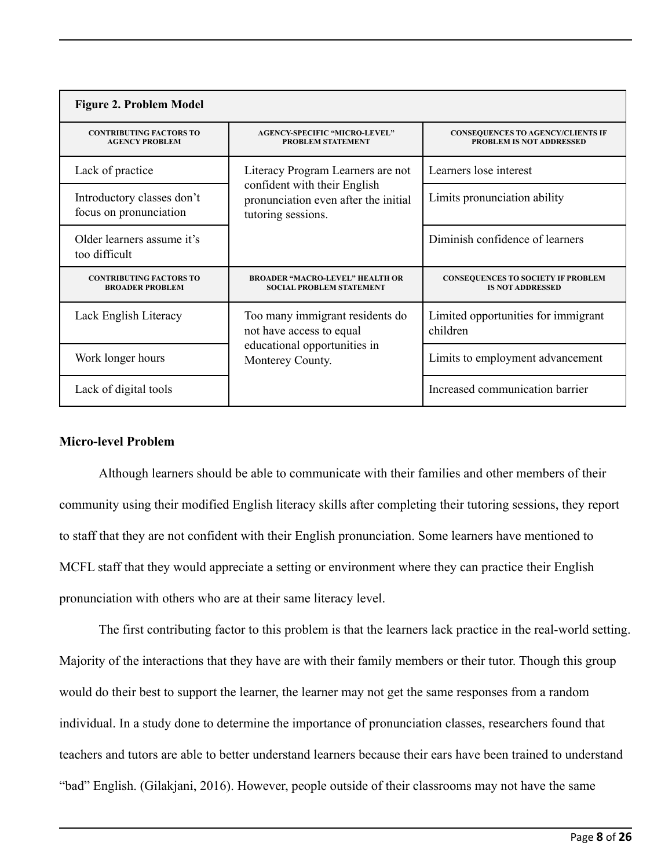| <b>Figure 2. Problem Model</b>                           |                                                                                                                                 |                                                                             |  |  |  |  |  |
|----------------------------------------------------------|---------------------------------------------------------------------------------------------------------------------------------|-----------------------------------------------------------------------------|--|--|--|--|--|
| <b>CONTRIBUTING FACTORS TO</b><br><b>AGENCY PROBLEM</b>  | <b>AGENCY-SPECIFIC "MICRO-LEVEL"</b><br><b>PROBLEM STATEMENT</b>                                                                | <b>CONSEQUENCES TO AGENCY/CLIENTS IF</b><br><b>PROBLEM IS NOT ADDRESSED</b> |  |  |  |  |  |
| Lack of practice                                         | Literacy Program Learners are not<br>confident with their English<br>pronunciation even after the initial<br>tutoring sessions. | Learners lose interest                                                      |  |  |  |  |  |
| Introductory classes don't<br>focus on pronunciation     |                                                                                                                                 | Limits pronunciation ability                                                |  |  |  |  |  |
| Older learners assume it's<br>too difficult              |                                                                                                                                 | Diminish confidence of learners                                             |  |  |  |  |  |
| <b>CONTRIBUTING FACTORS TO</b><br><b>BROADER PROBLEM</b> | <b>BROADER "MACRO-LEVEL" HEALTH OR</b><br><b>SOCIAL PROBLEM STATEMENT</b>                                                       | <b>CONSEQUENCES TO SOCIETY IF PROBLEM</b><br><b>IS NOT ADDRESSED</b>        |  |  |  |  |  |
| Lack English Literacy                                    | Too many immigrant residents do<br>not have access to equal                                                                     | Limited opportunities for immigrant<br>children                             |  |  |  |  |  |
| Work longer hours                                        | educational opportunities in<br>Monterey County.                                                                                | Limits to employment advancement                                            |  |  |  |  |  |
| Lack of digital tools                                    |                                                                                                                                 | Increased communication barrier                                             |  |  |  |  |  |

# **Micro-level Problem**

Although learners should be able to communicate with their families and other members of their community using their modified English literacy skills after completing their tutoring sessions, they report to staff that they are not confident with their English pronunciation. Some learners have mentioned to MCFL staff that they would appreciate a setting or environment where they can practice their English pronunciation with others who are at their same literacy level.

The first contributing factor to this problem is that the learners lack practice in the real-world setting. Majority of the interactions that they have are with their family members or their tutor. Though this group would do their best to support the learner, the learner may not get the same responses from a random individual. In a study done to determine the importance of pronunciation classes, researchers found that teachers and tutors are able to better understand learners because their ears have been trained to understand "bad" English. (Gilakjani, 2016). However, people outside of their classrooms may not have the same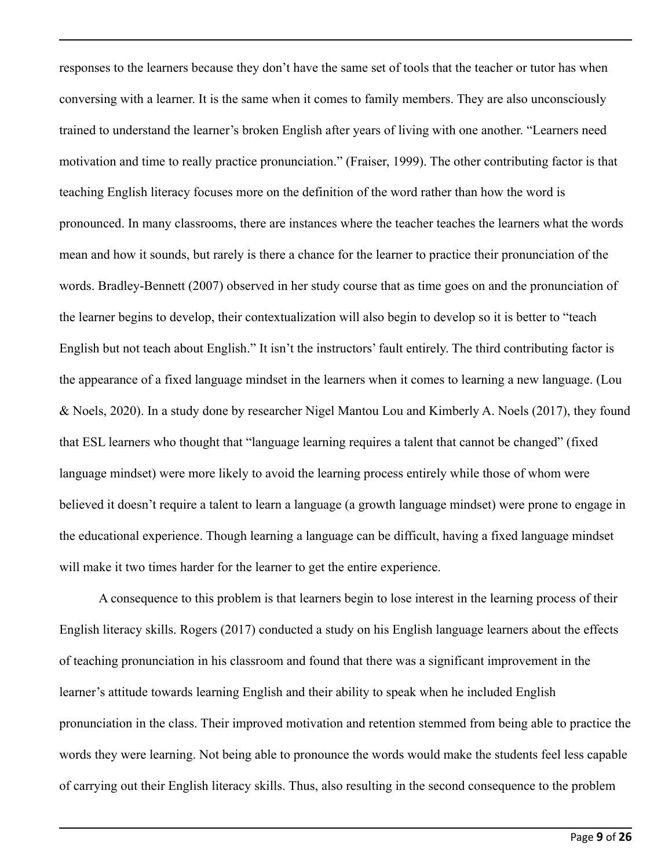responses to the learners because they don't have the same set of tools that the teacher or tutor has when conversing with a learner. It is the same when it comes to family members. They are also unconsciously trained to understand the learner's broken English after years of living with one another. "Learners need motivation and time to really practice pronunciation." (Fraiser, 1999). The other contributing factor is that teaching English literacy focuses more on the definition of the word rather than how the word is pronounced. In many classrooms, there are instances where the teacher teaches the learners what the words mean and how it sounds, but rarely is there a chance for the learner to practice their pronunciation of the words. Bradley-Bennett (2007) observed in her study course that as time goes on and the pronunciation of the learner begins to develop, their contextualization will also begin to develop so it is better to "teach English but not teach about English." It isn't the instructors' fault entirely. The third contributing factor is the appearance of a fixed language mindset in the learners when it comes to learning a new language. (Lou & Noels, 2020). In a study done by researcher Nigel Mantou Lou and Kimberly A. Noels (2017), they found that ESL learners who thought that "language learning requires a talent that cannot be changed" (fixed language mindset) were more likely to avoid the learning process entirely while those of whom were believed it doesn't require a talent to learn a language (a growth language mindset) were prone to engage in the educational experience. Though learning a language can be difficult, having a fixed language mindset will make it two times harder for the learner to get the entire experience.

A consequence to this problem is that learners begin to lose interest in the learning process of their English literacy skills. Rogers (2017) conducted a study on his English language learners about the effects of teaching pronunciation in his classroom and found that there was a significant improvement in the learner's attitude towards learning English and their ability to speak when he included English pronunciation in the class. Their improved motivation and retention stemmed from being able to practice the words they were learning. Not being able to pronounce the words would make the students feel less capable of carrying out their English literacy skills. Thus, also resulting in the second consequence to the problem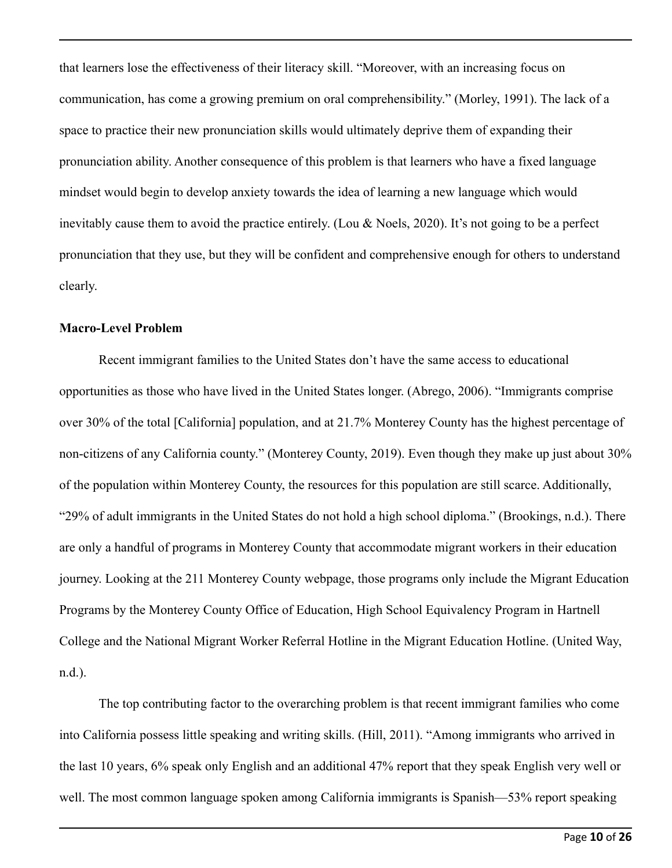that learners lose the effectiveness of their literacy skill. "Moreover, with an increasing focus on communication, has come a growing premium on oral comprehensibility." (Morley, 1991). The lack of a space to practice their new pronunciation skills would ultimately deprive them of expanding their pronunciation ability. Another consequence of this problem is that learners who have a fixed language mindset would begin to develop anxiety towards the idea of learning a new language which would inevitably cause them to avoid the practice entirely. (Lou & Noels, 2020). It's not going to be a perfect pronunciation that they use, but they will be confident and comprehensive enough for others to understand clearly.

# **Macro-Level Problem**

Recent immigrant families to the United States don't have the same access to educational opportunities as those who have lived in the United States longer. (Abrego, 2006). "Immigrants comprise over 30% of the total [California] population, and at 21.7% Monterey County has the highest percentage of non-citizens of any California county." (Monterey County, 2019). Even though they make up just about 30% of the population within Monterey County, the resources for this population are still scarce. Additionally, "29% of adult immigrants in the United States do not hold a high school diploma." (Brookings, n.d.). There are only a handful of programs in Monterey County that accommodate migrant workers in their education journey. Looking at the 211 Monterey County webpage, those programs only include the Migrant Education Programs by the Monterey County Office of Education, High School Equivalency Program in Hartnell College and the National Migrant Worker Referral Hotline in the Migrant Education Hotline. (United Way, n.d.).

The top contributing factor to the overarching problem is that recent immigrant families who come into California possess little speaking and writing skills. (Hill, 2011). "Among immigrants who arrived in the last 10 years, 6% speak only English and an additional 47% report that they speak English very well or well. The most common language spoken among California immigrants is Spanish—53% report speaking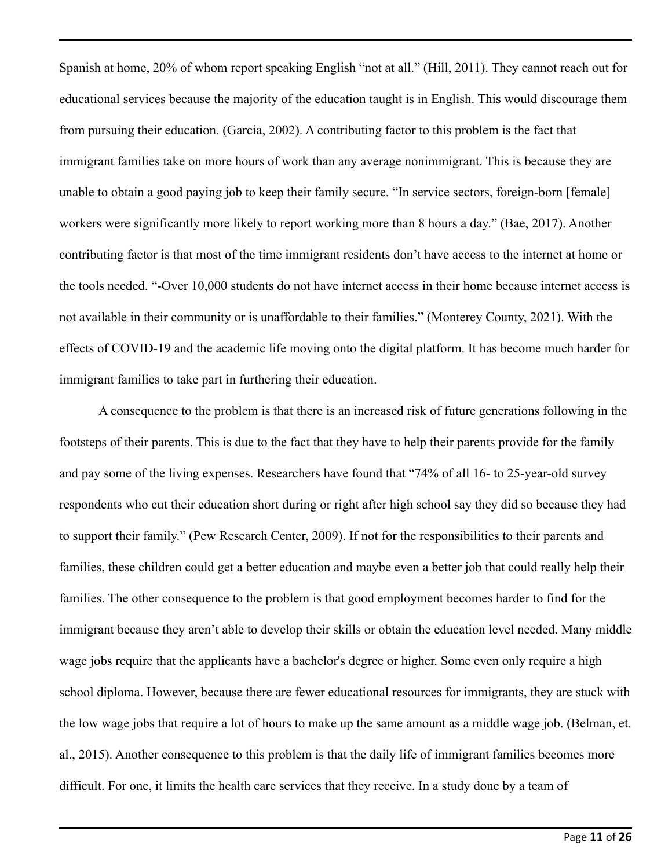Spanish at home, 20% of whom report speaking English "not at all." (Hill, 2011). They cannot reach out for educational services because the majority of the education taught is in English. This would discourage them from pursuing their education. (Garcia, 2002). A contributing factor to this problem is the fact that immigrant families take on more hours of work than any average nonimmigrant. This is because they are unable to obtain a good paying job to keep their family secure. "In service sectors, foreign-born [female] workers were significantly more likely to report working more than 8 hours a day." (Bae, 2017). Another contributing factor is that most of the time immigrant residents don't have access to the internet at home or the tools needed. "-Over 10,000 students do not have internet access in their home because internet access is not available in their community or is unaffordable to their families." (Monterey County, 2021). With the effects of COVID-19 and the academic life moving onto the digital platform. It has become much harder for immigrant families to take part in furthering their education.

A consequence to the problem is that there is an increased risk of future generations following in the footsteps of their parents. This is due to the fact that they have to help their parents provide for the family and pay some of the living expenses. Researchers have found that "74% of all 16- to 25-year-old survey respondents who cut their education short during or right after high school say they did so because they had to support their family." (Pew Research Center, 2009). If not for the responsibilities to their parents and families, these children could get a better education and maybe even a better job that could really help their families. The other consequence to the problem is that good employment becomes harder to find for the immigrant because they aren't able to develop their skills or obtain the education level needed. Many middle wage jobs require that the applicants have a bachelor's degree or higher. Some even only require a high school diploma. However, because there are fewer educational resources for immigrants, they are stuck with the low wage jobs that require a lot of hours to make up the same amount as a middle wage job. (Belman, et. al., 2015). Another consequence to this problem is that the daily life of immigrant families becomes more difficult. For one, it limits the health care services that they receive. In a study done by a team of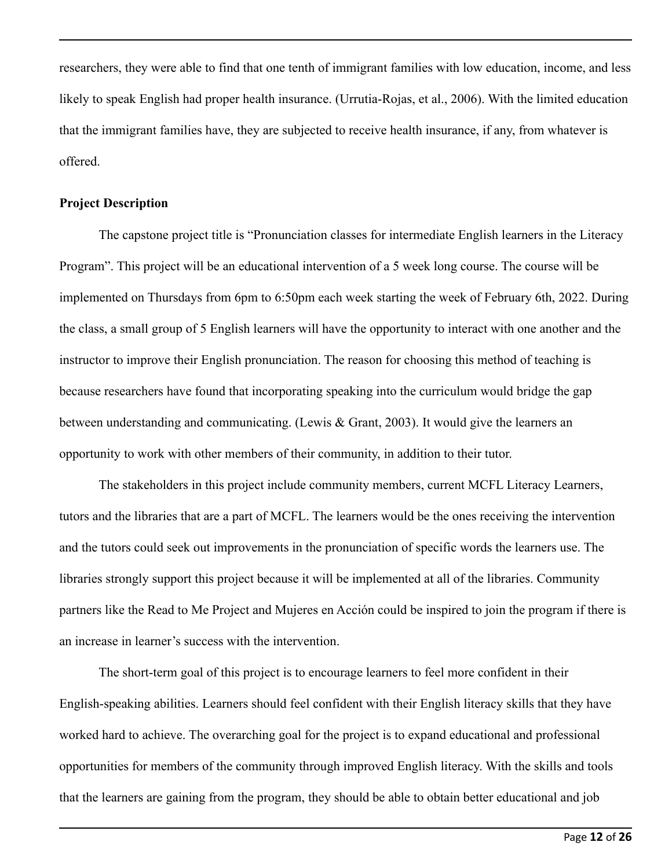researchers, they were able to find that one tenth of immigrant families with low education, income, and less likely to speak English had proper health insurance. (Urrutia-Rojas, et al., 2006). With the limited education that the immigrant families have, they are subjected to receive health insurance, if any, from whatever is offered.

#### **Project Description**

The capstone project title is "Pronunciation classes for intermediate English learners in the Literacy Program". This project will be an educational intervention of a 5 week long course. The course will be implemented on Thursdays from 6pm to 6:50pm each week starting the week of February 6th, 2022. During the class, a small group of 5 English learners will have the opportunity to interact with one another and the instructor to improve their English pronunciation. The reason for choosing this method of teaching is because researchers have found that incorporating speaking into the curriculum would bridge the gap between understanding and communicating. (Lewis & Grant, 2003). It would give the learners an opportunity to work with other members of their community, in addition to their tutor.

The stakeholders in this project include community members, current MCFL Literacy Learners, tutors and the libraries that are a part of MCFL. The learners would be the ones receiving the intervention and the tutors could seek out improvements in the pronunciation of specific words the learners use. The libraries strongly support this project because it will be implemented at all of the libraries. Community partners like the Read to Me Project and Mujeres en Acción could be inspired to join the program if there is an increase in learner's success with the intervention.

The short-term goal of this project is to encourage learners to feel more confident in their English-speaking abilities. Learners should feel confident with their English literacy skills that they have worked hard to achieve. The overarching goal for the project is to expand educational and professional opportunities for members of the community through improved English literacy. With the skills and tools that the learners are gaining from the program, they should be able to obtain better educational and job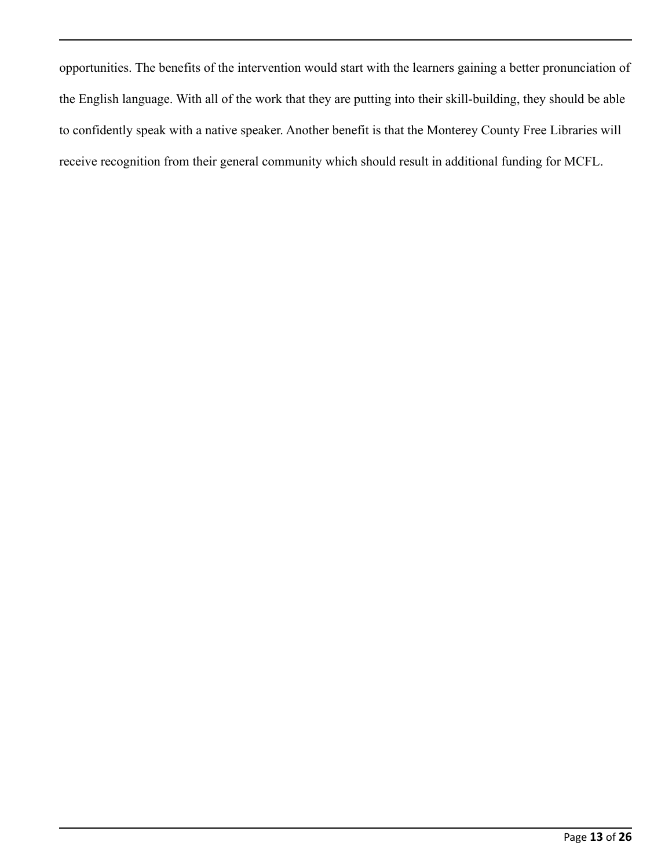opportunities. The benefits of the intervention would start with the learners gaining a better pronunciation of the English language. With all of the work that they are putting into their skill-building, they should be able to confidently speak with a native speaker. Another benefit is that the Monterey County Free Libraries will receive recognition from their general community which should result in additional funding for MCFL.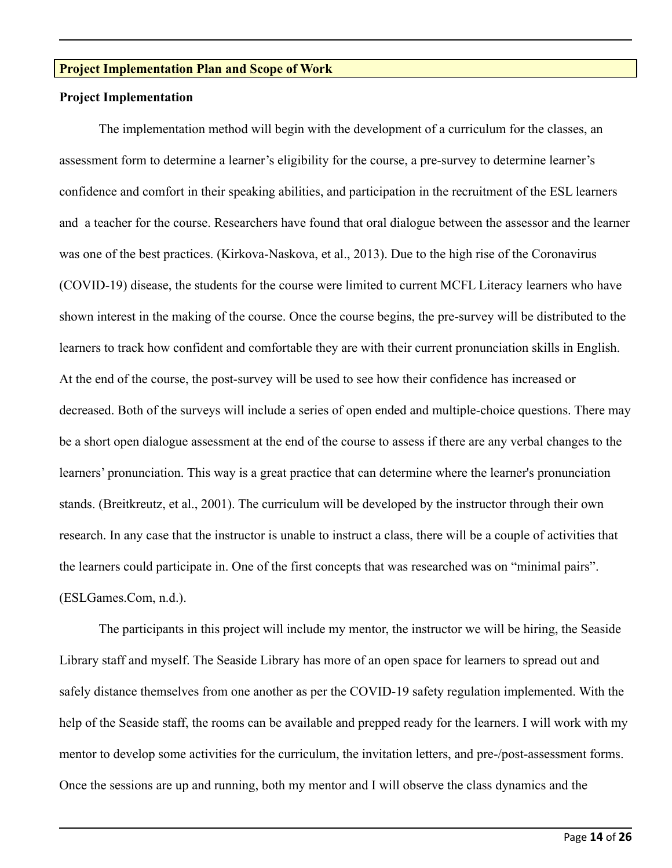# **Project Implementation Plan and Scope of Work**

#### **Project Implementation**

The implementation method will begin with the development of a curriculum for the classes, an assessment form to determine a learner's eligibility for the course, a pre-survey to determine learner's confidence and comfort in their speaking abilities, and participation in the recruitment of the ESL learners and a teacher for the course. Researchers have found that oral dialogue between the assessor and the learner was one of the best practices. (Kirkova-Naskova, et al., 2013). Due to the high rise of the Coronavirus (COVID-19) disease, the students for the course were limited to current MCFL Literacy learners who have shown interest in the making of the course. Once the course begins, the pre-survey will be distributed to the learners to track how confident and comfortable they are with their current pronunciation skills in English. At the end of the course, the post-survey will be used to see how their confidence has increased or decreased. Both of the surveys will include a series of open ended and multiple-choice questions. There may be a short open dialogue assessment at the end of the course to assess if there are any verbal changes to the learners' pronunciation. This way is a great practice that can determine where the learner's pronunciation stands. (Breitkreutz, et al., 2001). The curriculum will be developed by the instructor through their own research. In any case that the instructor is unable to instruct a class, there will be a couple of activities that the learners could participate in. One of the first concepts that was researched was on "minimal pairs". (ESLGames.Com, n.d.).

The participants in this project will include my mentor, the instructor we will be hiring, the Seaside Library staff and myself. The Seaside Library has more of an open space for learners to spread out and safely distance themselves from one another as per the COVID-19 safety regulation implemented. With the help of the Seaside staff, the rooms can be available and prepped ready for the learners. I will work with my mentor to develop some activities for the curriculum, the invitation letters, and pre-/post-assessment forms. Once the sessions are up and running, both my mentor and I will observe the class dynamics and the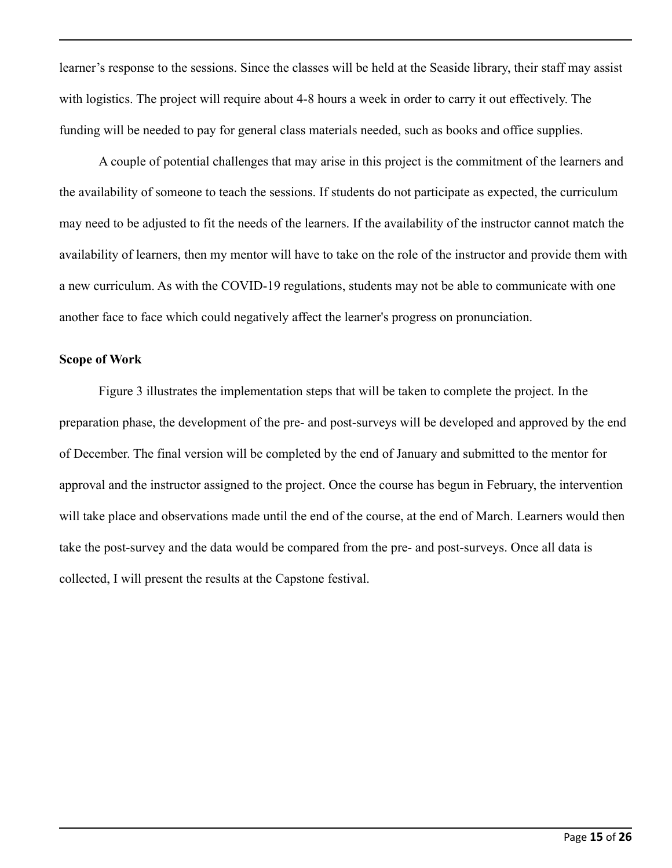learner's response to the sessions. Since the classes will be held at the Seaside library, their staff may assist with logistics. The project will require about 4-8 hours a week in order to carry it out effectively. The funding will be needed to pay for general class materials needed, such as books and office supplies.

A couple of potential challenges that may arise in this project is the commitment of the learners and the availability of someone to teach the sessions. If students do not participate as expected, the curriculum may need to be adjusted to fit the needs of the learners. If the availability of the instructor cannot match the availability of learners, then my mentor will have to take on the role of the instructor and provide them with a new curriculum. As with the COVID-19 regulations, students may not be able to communicate with one another face to face which could negatively affect the learner's progress on pronunciation.

#### **Scope of Work**

Figure 3 illustrates the implementation steps that will be taken to complete the project. In the preparation phase, the development of the pre- and post-surveys will be developed and approved by the end of December. The final version will be completed by the end of January and submitted to the mentor for approval and the instructor assigned to the project. Once the course has begun in February, the intervention will take place and observations made until the end of the course, at the end of March. Learners would then take the post-survey and the data would be compared from the pre- and post-surveys. Once all data is collected, I will present the results at the Capstone festival.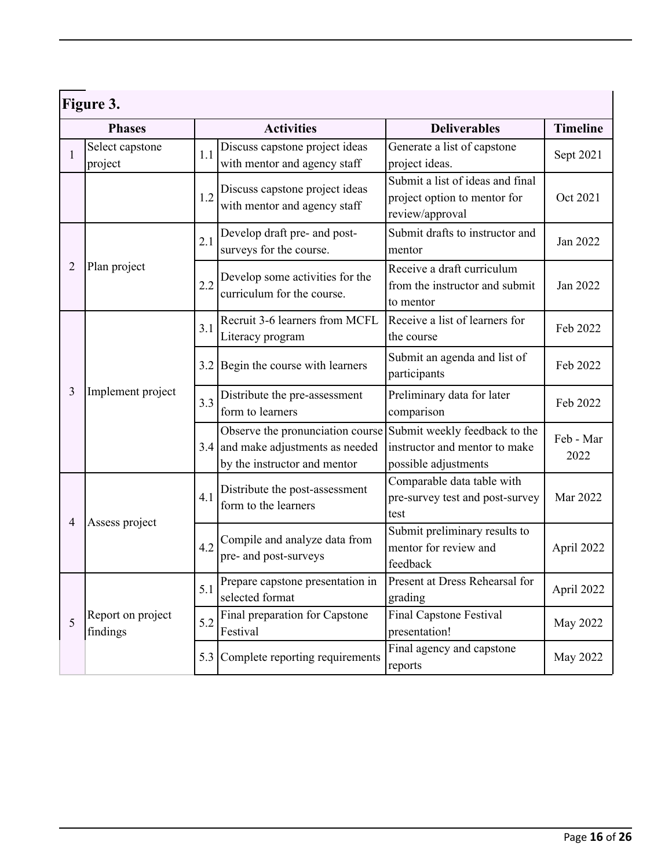| Figure 3.      |                               |     |                                                                                                          |                                                                                        |                   |  |
|----------------|-------------------------------|-----|----------------------------------------------------------------------------------------------------------|----------------------------------------------------------------------------------------|-------------------|--|
| <b>Phases</b>  |                               |     | <b>Activities</b>                                                                                        | <b>Deliverables</b>                                                                    | <b>Timeline</b>   |  |
| 1              | Select capstone<br>project    | 1.1 | Discuss capstone project ideas<br>with mentor and agency staff                                           | Generate a list of capstone<br>project ideas.                                          | Sept 2021         |  |
|                |                               | 1.2 | Discuss capstone project ideas<br>with mentor and agency staff                                           | Submit a list of ideas and final<br>project option to mentor for<br>review/approval    | Oct 2021          |  |
| 2              | Plan project                  | 2.1 | Develop draft pre- and post-<br>surveys for the course.                                                  | Submit drafts to instructor and<br>mentor                                              | Jan 2022          |  |
|                |                               | 2.2 | Develop some activities for the<br>curriculum for the course.                                            | Receive a draft curriculum<br>from the instructor and submit<br>to mentor              | Jan 2022          |  |
| 3              | Implement project             | 3.1 | Recruit 3-6 learners from MCFL<br>Literacy program                                                       | Receive a list of learners for<br>the course                                           | Feb 2022          |  |
|                |                               |     | 3.2 Begin the course with learners                                                                       | Submit an agenda and list of<br>participants                                           | Feb 2022          |  |
|                |                               | 3.3 | Distribute the pre-assessment<br>form to learners                                                        | Preliminary data for later<br>comparison                                               | Feb 2022          |  |
|                |                               |     | Observe the pronunciation course<br>$3.4$ and make adjustments as needed<br>by the instructor and mentor | Submit weekly feedback to the<br>instructor and mentor to make<br>possible adjustments | Feb - Mar<br>2022 |  |
| $\overline{4}$ | Assess project                | 4.1 | Distribute the post-assessment<br>form to the learners                                                   | Comparable data table with<br>pre-survey test and post-survey<br>test                  | Mar 2022          |  |
|                |                               | 4.2 | Compile and analyze data from<br>pre- and post-surveys                                                   | Submit preliminary results to<br>mentor for review and<br>feedback                     | April 2022        |  |
| 5              | Report on project<br>findings | 5.1 | Prepare capstone presentation in<br>selected format                                                      | Present at Dress Rehearsal for<br>grading                                              | April 2022        |  |
|                |                               | 5.2 | Final preparation for Capstone<br>Festival                                                               | <b>Final Capstone Festival</b><br>presentation!                                        | May 2022          |  |
|                |                               | 5.3 | Complete reporting requirements                                                                          | Final agency and capstone<br>reports                                                   | May 2022          |  |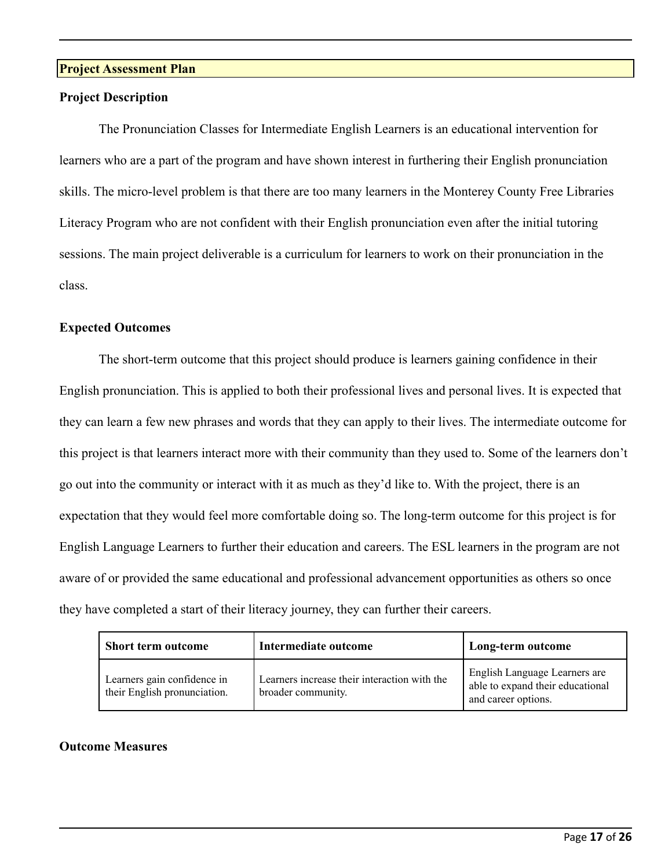# **Project Assessment Plan**

#### **Project Description**

The Pronunciation Classes for Intermediate English Learners is an educational intervention for learners who are a part of the program and have shown interest in furthering their English pronunciation skills. The micro-level problem is that there are too many learners in the Monterey County Free Libraries Literacy Program who are not confident with their English pronunciation even after the initial tutoring sessions. The main project deliverable is a curriculum for learners to work on their pronunciation in the class.

# **Expected Outcomes**

The short-term outcome that this project should produce is learners gaining confidence in their English pronunciation. This is applied to both their professional lives and personal lives. It is expected that they can learn a few new phrases and words that they can apply to their lives. The intermediate outcome for this project is that learners interact more with their community than they used to. Some of the learners don't go out into the community or interact with it as much as they'd like to. With the project, there is an expectation that they would feel more comfortable doing so. The long-term outcome for this project is for English Language Learners to further their education and careers. The ESL learners in the program are not aware of or provided the same educational and professional advancement opportunities as others so once they have completed a start of their literacy journey, they can further their careers.

| <b>Short term outcome</b>                                   | Intermediate outcome                                               | Long-term outcome                                                                        |
|-------------------------------------------------------------|--------------------------------------------------------------------|------------------------------------------------------------------------------------------|
| Learners gain confidence in<br>their English pronunciation. | Learners increase their interaction with the<br>broader community. | English Language Learners are<br>able to expand their educational<br>and career options. |

#### **Outcome Measures**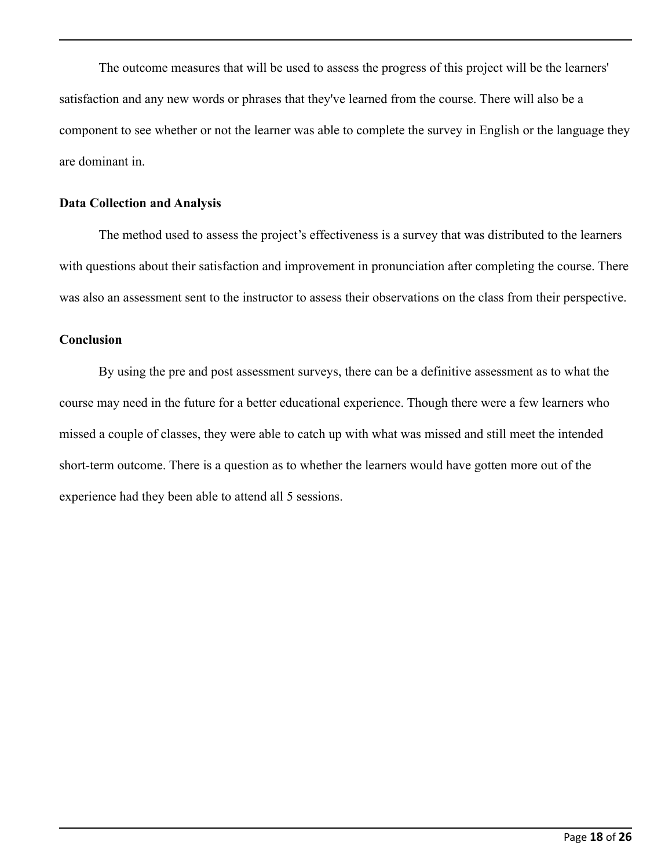The outcome measures that will be used to assess the progress of this project will be the learners' satisfaction and any new words or phrases that they've learned from the course. There will also be a component to see whether or not the learner was able to complete the survey in English or the language they are dominant in.

#### **Data Collection and Analysis**

The method used to assess the project's effectiveness is a survey that was distributed to the learners with questions about their satisfaction and improvement in pronunciation after completing the course. There was also an assessment sent to the instructor to assess their observations on the class from their perspective.

# **Conclusion**

By using the pre and post assessment surveys, there can be a definitive assessment as to what the course may need in the future for a better educational experience. Though there were a few learners who missed a couple of classes, they were able to catch up with what was missed and still meet the intended short-term outcome. There is a question as to whether the learners would have gotten more out of the experience had they been able to attend all 5 sessions.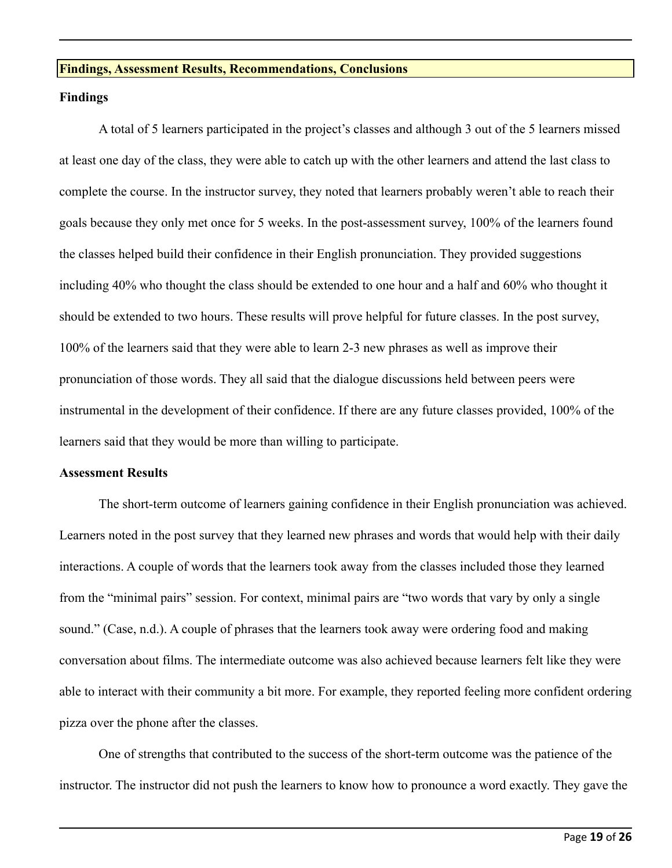#### **Findings, Assessment Results, Recommendations, Conclusions**

#### **Findings**

A total of 5 learners participated in the project's classes and although 3 out of the 5 learners missed at least one day of the class, they were able to catch up with the other learners and attend the last class to complete the course. In the instructor survey, they noted that learners probably weren't able to reach their goals because they only met once for 5 weeks. In the post-assessment survey, 100% of the learners found the classes helped build their confidence in their English pronunciation. They provided suggestions including 40% who thought the class should be extended to one hour and a half and 60% who thought it should be extended to two hours. These results will prove helpful for future classes. In the post survey, 100% of the learners said that they were able to learn 2-3 new phrases as well as improve their pronunciation of those words. They all said that the dialogue discussions held between peers were instrumental in the development of their confidence. If there are any future classes provided, 100% of the learners said that they would be more than willing to participate.

#### **Assessment Results**

The short-term outcome of learners gaining confidence in their English pronunciation was achieved. Learners noted in the post survey that they learned new phrases and words that would help with their daily interactions. A couple of words that the learners took away from the classes included those they learned from the "minimal pairs" session. For context, minimal pairs are "two words that vary by only a single sound." (Case, n.d.). A couple of phrases that the learners took away were ordering food and making conversation about films. The intermediate outcome was also achieved because learners felt like they were able to interact with their community a bit more. For example, they reported feeling more confident ordering pizza over the phone after the classes.

One of strengths that contributed to the success of the short-term outcome was the patience of the instructor. The instructor did not push the learners to know how to pronounce a word exactly. They gave the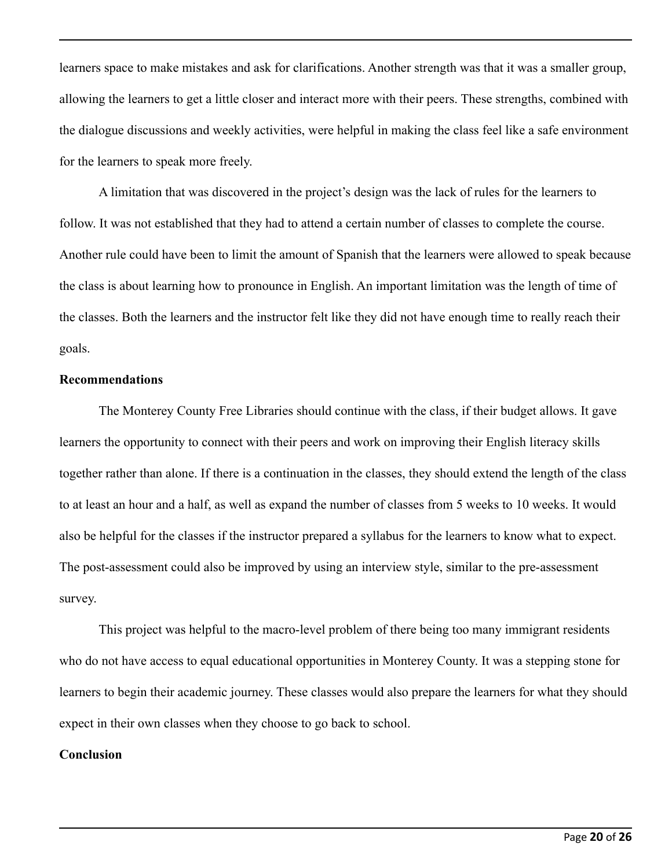learners space to make mistakes and ask for clarifications. Another strength was that it was a smaller group, allowing the learners to get a little closer and interact more with their peers. These strengths, combined with the dialogue discussions and weekly activities, were helpful in making the class feel like a safe environment for the learners to speak more freely.

A limitation that was discovered in the project's design was the lack of rules for the learners to follow. It was not established that they had to attend a certain number of classes to complete the course. Another rule could have been to limit the amount of Spanish that the learners were allowed to speak because the class is about learning how to pronounce in English. An important limitation was the length of time of the classes. Both the learners and the instructor felt like they did not have enough time to really reach their goals.

# **Recommendations**

The Monterey County Free Libraries should continue with the class, if their budget allows. It gave learners the opportunity to connect with their peers and work on improving their English literacy skills together rather than alone. If there is a continuation in the classes, they should extend the length of the class to at least an hour and a half, as well as expand the number of classes from 5 weeks to 10 weeks. It would also be helpful for the classes if the instructor prepared a syllabus for the learners to know what to expect. The post-assessment could also be improved by using an interview style, similar to the pre-assessment survey.

This project was helpful to the macro-level problem of there being too many immigrant residents who do not have access to equal educational opportunities in Monterey County. It was a stepping stone for learners to begin their academic journey. These classes would also prepare the learners for what they should expect in their own classes when they choose to go back to school.

# **Conclusion**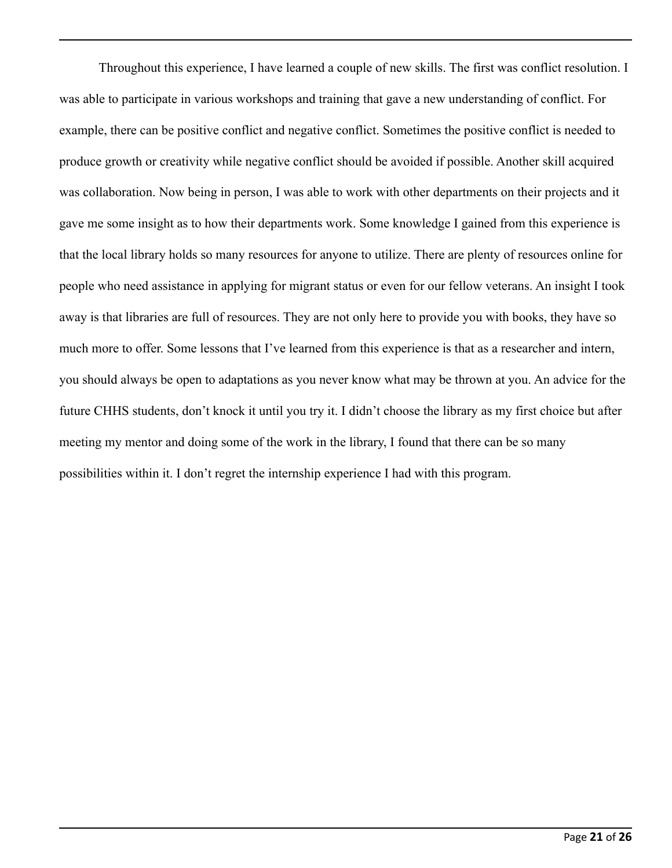Throughout this experience, I have learned a couple of new skills. The first was conflict resolution. I was able to participate in various workshops and training that gave a new understanding of conflict. For example, there can be positive conflict and negative conflict. Sometimes the positive conflict is needed to produce growth or creativity while negative conflict should be avoided if possible. Another skill acquired was collaboration. Now being in person, I was able to work with other departments on their projects and it gave me some insight as to how their departments work. Some knowledge I gained from this experience is that the local library holds so many resources for anyone to utilize. There are plenty of resources online for people who need assistance in applying for migrant status or even for our fellow veterans. An insight I took away is that libraries are full of resources. They are not only here to provide you with books, they have so much more to offer. Some lessons that I've learned from this experience is that as a researcher and intern, you should always be open to adaptations as you never know what may be thrown at you. An advice for the future CHHS students, don't knock it until you try it. I didn't choose the library as my first choice but after meeting my mentor and doing some of the work in the library, I found that there can be so many possibilities within it. I don't regret the internship experience I had with this program.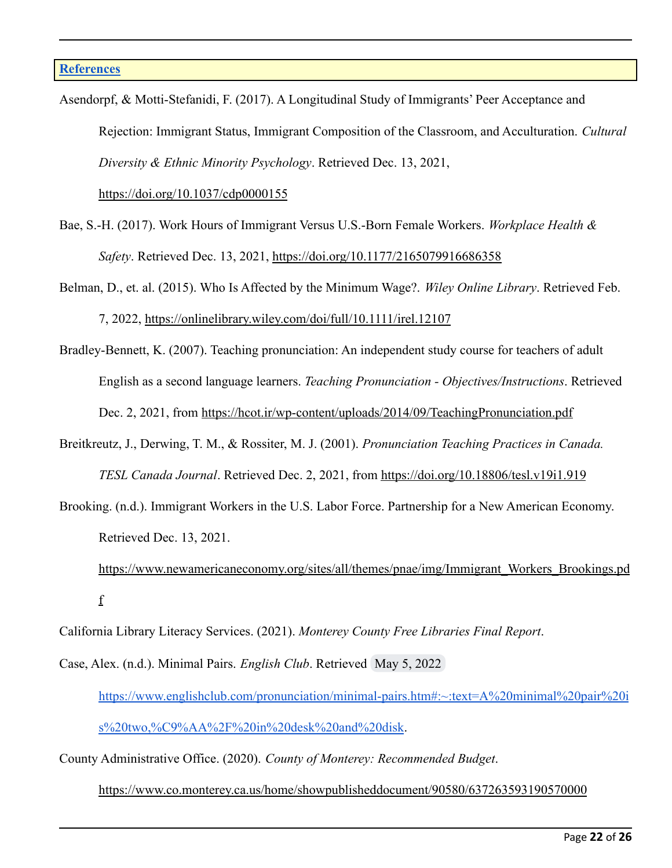Asendorpf, & Motti-Stefanidi, F. (2017). A Longitudinal Study of Immigrants' Peer Acceptance and Rejection: Immigrant Status, Immigrant Composition of the Classroom, and Acculturation. *Cultural Diversity & Ethnic Minority Psychology*. Retrieved Dec. 13, 2021,

<https://doi.org/10.1037/cdp0000155>

- Bae, S.-H. (2017). Work Hours of Immigrant Versus U.S.-Born Female Workers. *Workplace Health & Safety*. Retrieved Dec. 13, 2021, <https://doi.org/10.1177/2165079916686358>
- Belman, D., et. al. (2015). Who Is Affected by the Minimum Wage?. *Wiley Online Library*. Retrieved Feb. 7, 2022, <https://onlinelibrary.wiley.com/doi/full/10.1111/irel.12107>
- Bradley-Bennett, K. (2007). Teaching pronunciation: An independent study course for teachers of adult English as a second language learners. *Teaching Pronunciation - Objectives/Instructions*. Retrieved Dec. 2, 2021, from <https://hcot.ir/wp-content/uploads/2014/09/TeachingPronunciation.pdf>
- Breitkreutz, J., Derwing, T. M., & Rossiter, M. J. (2001). *Pronunciation Teaching Practices in Canada. TESL Canada Journal*. Retrieved Dec. 2, 2021, from <https://doi.org/10.18806/tesl.v19i1.919>
- Brooking. (n.d.). Immigrant Workers in the U.S. Labor Force. Partnership for a New American Economy. Retrieved Dec. 13, 2021.
	- [https://www.newamericaneconomy.org/sites/all/themes/pnae/img/Immigrant\\_Workers\\_Brookings.pd](https://www.newamericaneconomy.org/sites/all/themes/pnae/img/Immigrant_Workers_Brookings.pdf) [f](https://www.newamericaneconomy.org/sites/all/themes/pnae/img/Immigrant_Workers_Brookings.pdf)
- California Library Literacy Services. (2021). *Monterey County Free Libraries Final Report*.
- Case, Alex. (n.d.). Minimal Pairs. *English Club*. Retrieved May 5, 2022 [https://www.englishclub.com/pronunciation/minimal-pairs.htm#:~:text=A%20minimal%20pair%20i](https://www.englishclub.com/pronunciation/minimal-pairs.htm#:~:text=A%20minimal%20pair%20is%20two,%C9%AA%2F%20in%20desk%20and%20disk) [s%20two,%C9%AA%2F%20in%20desk%20and%20disk](https://www.englishclub.com/pronunciation/minimal-pairs.htm#:~:text=A%20minimal%20pair%20is%20two,%C9%AA%2F%20in%20desk%20and%20disk).
- County Administrative Office. (2020). *County of Monterey: Recommended Budget*.

<https://www.co.monterey.ca.us/home/showpublisheddocument/90580/637263593190570000>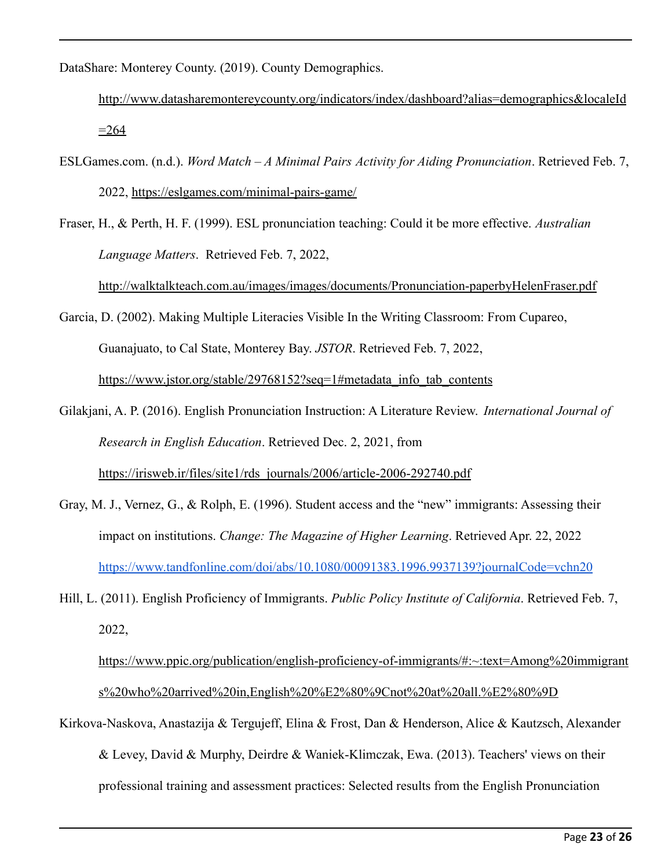DataShare: Monterey County. (2019). County Demographics.

[http://www.datasharemontereycounty.org/indicators/index/dashboard?alias=demographics&localeId](http://www.datasharemontereycounty.org/indicators/index/dashboard?alias=demographics&localeId=264)  $=264$ 

- ESLGames.com. (n.d.). *Word Match A Minimal Pairs Activity for Aiding Pronunciation*. Retrieved Feb. 7, 2022, <https://eslgames.com/minimal-pairs-game/>
- Fraser, H., & Perth, H. F. (1999). ESL pronunciation teaching: Could it be more effective. *Australian Language Matters*. Retrieved Feb. 7, 2022,

<http://walktalkteach.com.au/images/images/documents/Pronunciation-paperbyHelenFraser.pdf>

Garcia, D. (2002). Making Multiple Literacies Visible In the Writing Classroom: From Cupareo, Guanajuato, to Cal State, Monterey Bay. *JSTOR*. Retrieved Feb. 7, 2022, [https://www.jstor.org/stable/29768152?seq=1#metadata\\_info\\_tab\\_contents](https://www.jstor.org/stable/29768152?seq=1#metadata_info_tab_contents)

- Gilakjani, A. P. (2016). English Pronunciation Instruction: A Literature Review. *International Journal of Research in English Education*. Retrieved Dec. 2, 2021, from [https://irisweb.ir/files/site1/rds\\_journals/2006/article-2006-292740.pdf](https://irisweb.ir/files/site1/rds_journals/2006/article-2006-292740.pdf)
- Gray, M. J., Vernez, G., & Rolph, E. (1996). Student access and the "new" immigrants: Assessing their impact on institutions. *Change: The Magazine of Higher Learning*. Retrieved Apr. 22, 2022 <https://www.tandfonline.com/doi/abs/10.1080/00091383.1996.9937139?journalCode=vchn20>
- Hill, L. (2011). English Proficiency of Immigrants. *Public Policy Institute of California*. Retrieved Feb. 7, 2022,

[https://www.ppic.org/publication/english-proficiency-of-immigrants/#:~:text=Among%20immigrant](https://www.ppic.org/publication/english-proficiency-of-immigrants/#:~:text=Among%20immigrants%20who%20arrived%20in,English%20%E2%80%9Cnot%20at%20all.%E2%80%9D) [s%20who%20arrived%20in,English%20%E2%80%9Cnot%20at%20all.%E2%80%9D](https://www.ppic.org/publication/english-proficiency-of-immigrants/#:~:text=Among%20immigrants%20who%20arrived%20in,English%20%E2%80%9Cnot%20at%20all.%E2%80%9D)

Kirkova-Naskova, Anastazija & Tergujeff, Elina & Frost, Dan & Henderson, Alice & Kautzsch, Alexander & Levey, David & Murphy, Deirdre & Waniek-Klimczak, Ewa. (2013). Teachers' views on their professional training and assessment practices: Selected results from the English Pronunciation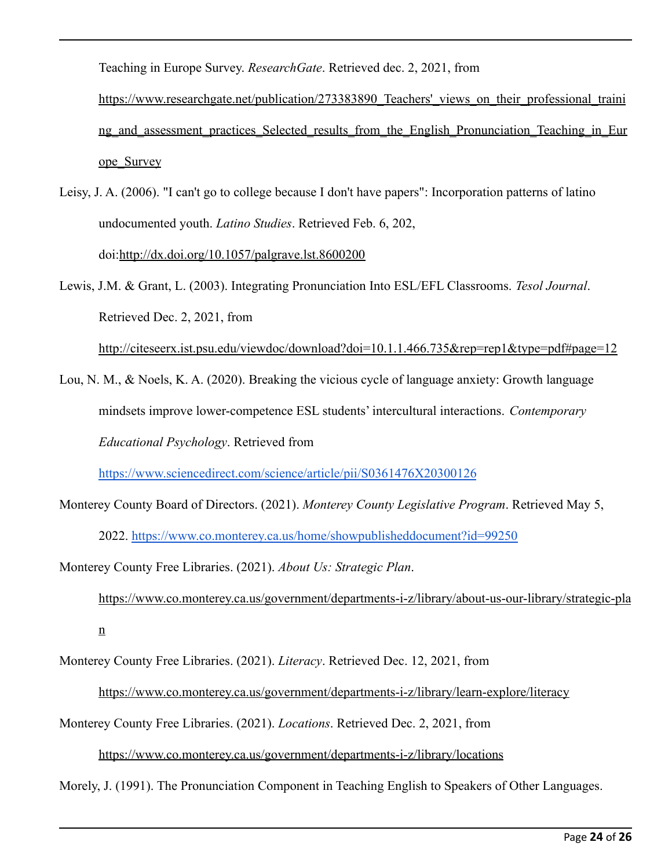Teaching in Europe Survey. *ResearchGate*. Retrieved dec. 2, 2021, from

https://www.researchgate.net/publication/273383890 Teachers' views on their professional traini ng and assessment practices Selected results from the English Pronunciation Teaching in Eur [ope\\_Survey](https://www.researchgate.net/publication/273383890_Teachers)

Leisy, J. A. (2006). "I can't go to college because I don't have papers": Incorporation patterns of latino undocumented youth. *Latino Studies*. Retrieved Feb. 6, 202, doi:<http://dx.doi.org/10.1057/palgrave.lst.8600200>

Lewis, J.M. & Grant, L. (2003). Integrating Pronunciation Into ESL/EFL Classrooms. *Tesol Journal*. Retrieved Dec. 2, 2021, from

<http://citeseerx.ist.psu.edu/viewdoc/download?doi=10.1.1.466.735&rep=rep1&type=pdf#page=12>

Lou, N. M., & Noels, K. A. (2020). Breaking the vicious cycle of language anxiety: Growth language mindsets improve lower-competence ESL students' intercultural interactions. *Contemporary Educational Psychology*. Retrieved from

<https://www.sciencedirect.com/science/article/pii/S0361476X20300126>

Monterey County Board of Directors. (2021). *Monterey County Legislative Program*. Retrieved May 5, 2022. <https://www.co.monterey.ca.us/home/showpublisheddocument?id=99250>

Monterey County Free Libraries. (2021). *About Us: Strategic Plan*. [https://www.co.monterey.ca.us/government/departments-i-z/library/about-us-our-library/strategic-pla](https://www.co.monterey.ca.us/government/departments-i-z/library/about-us-our-library/strategic-plan) [n](https://www.co.monterey.ca.us/government/departments-i-z/library/about-us-our-library/strategic-plan)

Monterey County Free Libraries. (2021). *Literacy*. Retrieved Dec. 12, 2021, from

<https://www.co.monterey.ca.us/government/departments-i-z/library/learn-explore/literacy>

Monterey County Free Libraries. (2021). *Locations*. Retrieved Dec. 2, 2021, from

<https://www.co.monterey.ca.us/government/departments-i-z/library/locations>

Morely, J. (1991). The Pronunciation Component in Teaching English to Speakers of Other Languages.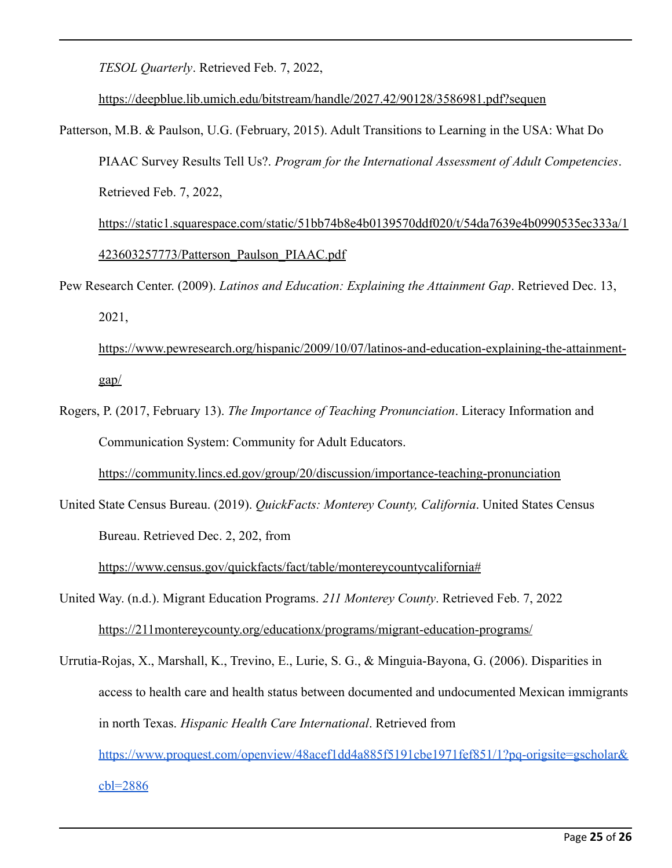*TESOL Quarterly*. Retrieved Feb. 7, 2022,

<https://deepblue.lib.umich.edu/bitstream/handle/2027.42/90128/3586981.pdf?sequen>

Patterson, M.B. & Paulson, U.G. (February, 2015). Adult Transitions to Learning in the USA: What Do PIAAC Survey Results Tell Us?. *Program for the International Assessment of Adult Competencies*. Retrieved Feb. 7, 2022,

[https://static1.squarespace.com/static/51bb74b8e4b0139570ddf020/t/54da7639e4b0990535ec333a/1](https://static1.squarespace.com/static/51bb74b8e4b0139570ddf020/t/54da7639e4b0990535ec333a/1423603257773/Patterson_Paulson_PIAAC.pdf) [423603257773/Patterson\\_Paulson\\_PIAAC.pdf](https://static1.squarespace.com/static/51bb74b8e4b0139570ddf020/t/54da7639e4b0990535ec333a/1423603257773/Patterson_Paulson_PIAAC.pdf)

Pew Research Center. (2009). *Latinos and Education: Explaining the Attainment Gap*. Retrieved Dec. 13, 2021,

[https://www.pewresearch.org/hispanic/2009/10/07/latinos-and-education-explaining-the-attainment](https://www.pewresearch.org/hispanic/2009/10/07/latinos-and-education-explaining-the-attainment-gap/)[gap/](https://www.pewresearch.org/hispanic/2009/10/07/latinos-and-education-explaining-the-attainment-gap/)

Rogers, P. (2017, February 13). *The Importance of Teaching Pronunciation*. Literacy Information and Communication System: Community for Adult Educators.

<https://community.lincs.ed.gov/group/20/discussion/importance-teaching-pronunciation>

United State Census Bureau. (2019). *QuickFacts: Monterey County, California*. United States Census Bureau. Retrieved Dec. 2, 202, from

<https://www.census.gov/quickfacts/fact/table/montereycountycalifornia#>

United Way. (n.d.). Migrant Education Programs. *211 Monterey County*. Retrieved Feb. 7, 2022 <https://211montereycounty.org/educationx/programs/migrant-education-programs/>

Urrutia-Rojas, X., Marshall, K., Trevino, E., Lurie, S. G., & Minguia-Bayona, G. (2006). Disparities in access to health care and health status between documented and undocumented Mexican immigrants in north Texas. *Hispanic Health Care International*. Retrieved from [https://www.proquest.com/openview/48acef1dd4a885f5191cbe1971fef851/1?pq-origsite=gscholar&](https://www.proquest.com/openview/48acef1dd4a885f5191cbe1971fef851/1?pq-origsite=gscholar&cbl=28861) [cbl=2886](https://www.proquest.com/openview/48acef1dd4a885f5191cbe1971fef851/1?pq-origsite=gscholar&cbl=28861)